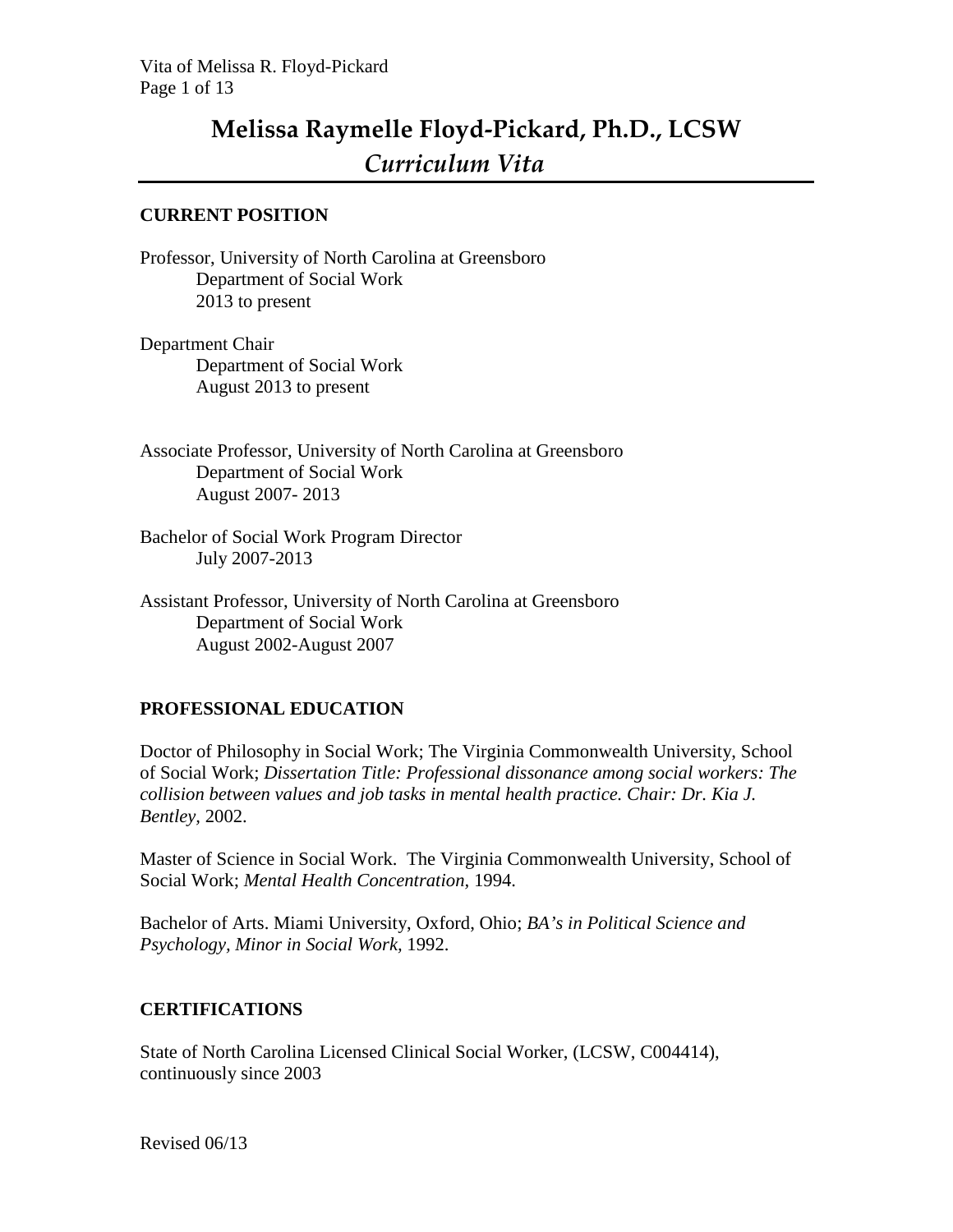# **Melissa Raymelle Floyd-Pickard, Ph.D., LCSW** *Curriculum Vita*

#### **CURRENT POSITION**

Professor, University of North Carolina at Greensboro Department of Social Work 2013 to present

Department Chair Department of Social Work August 2013 to present

Associate Professor, University of North Carolina at Greensboro Department of Social Work August 2007- 2013

Bachelor of Social Work Program Director July 2007-2013

Assistant Professor, University of North Carolina at Greensboro Department of Social Work August 2002-August 2007

## **PROFESSIONAL EDUCATION**

Doctor of Philosophy in Social Work; The Virginia Commonwealth University, School of Social Work; *Dissertation Title: Professional dissonance among social workers: The collision between values and job tasks in mental health practice. Chair: Dr. Kia J. Bentley,* 2002.

Master of Science in Social Work. The Virginia Commonwealth University, School of Social Work; *Mental Health Concentration,* 1994.

Bachelor of Arts. Miami University, Oxford, Ohio; *BA's in Political Science and Psychology, Minor in Social Work,* 1992.

## **CERTIFICATIONS**

State of North Carolina Licensed Clinical Social Worker, (LCSW, C004414), continuously since 2003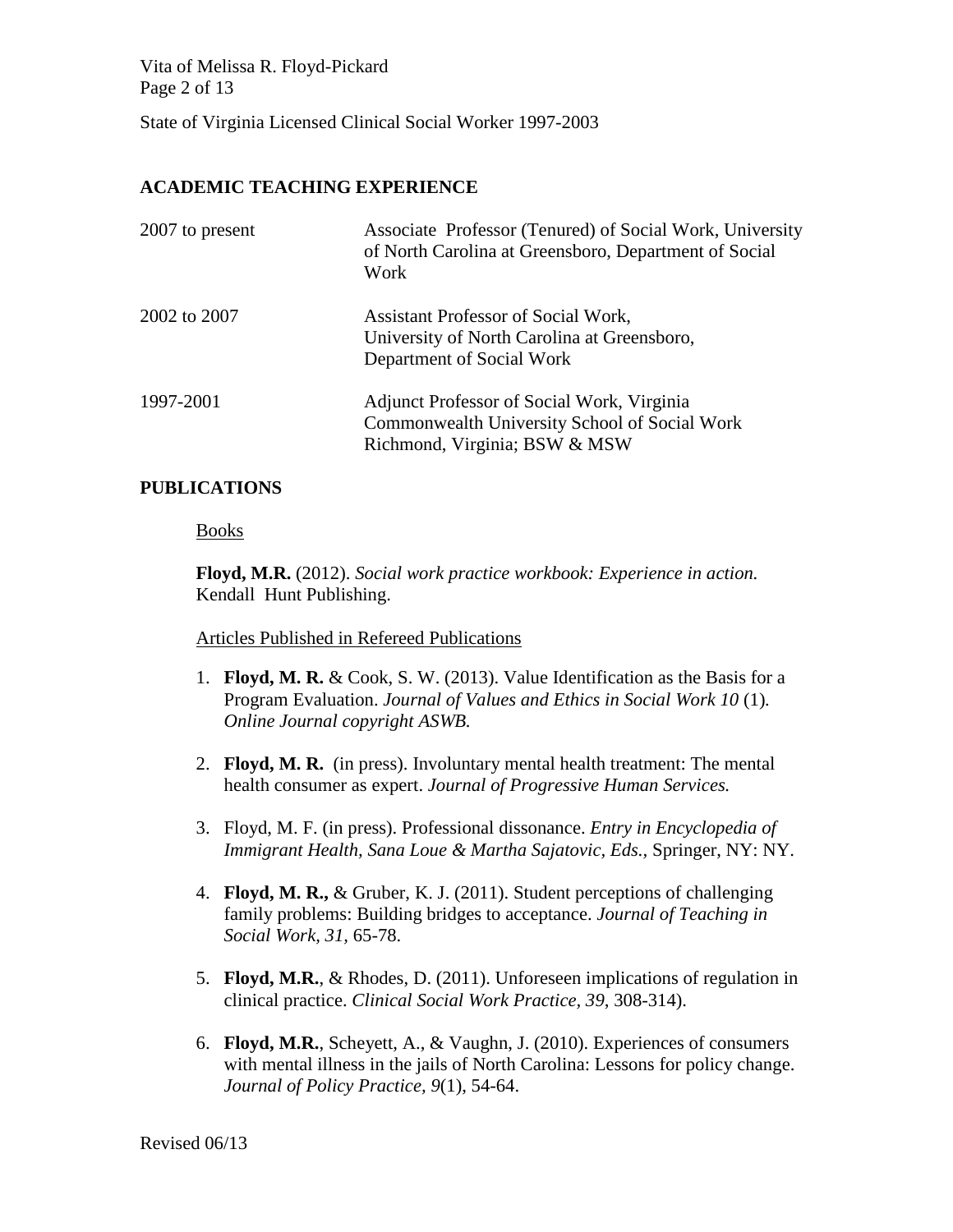Vita of Melissa R. Floyd-Pickard Page 2 of 13

State of Virginia Licensed Clinical Social Worker 1997-2003

### **ACADEMIC TEACHING EXPERIENCE**

| 2007 to present | Associate Professor (Tenured) of Social Work, University<br>of North Carolina at Greensboro, Department of Social<br>Work    |
|-----------------|------------------------------------------------------------------------------------------------------------------------------|
| 2002 to 2007    | Assistant Professor of Social Work,<br>University of North Carolina at Greensboro,<br>Department of Social Work              |
| 1997-2001       | Adjunct Professor of Social Work, Virginia<br>Commonwealth University School of Social Work<br>Richmond, Virginia; BSW & MSW |

#### **PUBLICATIONS**

#### **Books**

**Floyd, M.R.** (2012). *Social work practice workbook: Experience in action.*  Kendall Hunt Publishing.

#### Articles Published in Refereed Publications

- 1. **Floyd, M. R.** & Cook, S. W. (2013). Value Identification as the Basis for a Program Evaluation. *Journal of Values and Ethics in Social Work 10* (1)*. Online Journal copyright ASWB.*
- 2. **Floyd, M. R.** (in press). Involuntary mental health treatment: The mental health consumer as expert. *Journal of Progressive Human Services.*
- 3. Floyd, M. F. (in press). Professional dissonance. *Entry in Encyclopedia of Immigrant Health, Sana Loue & Martha Sajatovic, Eds.,* Springer, NY: NY.
- 4. **Floyd, M. R.,** & Gruber, K. J. (2011). Student perceptions of challenging family problems: Building bridges to acceptance. *Journal of Teaching in Social Work, 31,* 65-78.
- 5. **Floyd, M.R.**, & Rhodes, D. (2011). Unforeseen implications of regulation in clinical practice. *Clinical Social Work Practice, 39*, 308-314).
- 6. **Floyd, M.R.**, Scheyett, A., & Vaughn, J. (2010). Experiences of consumers with mental illness in the jails of North Carolina: Lessons for policy change. *Journal of Policy Practice, 9*(1), 54-64.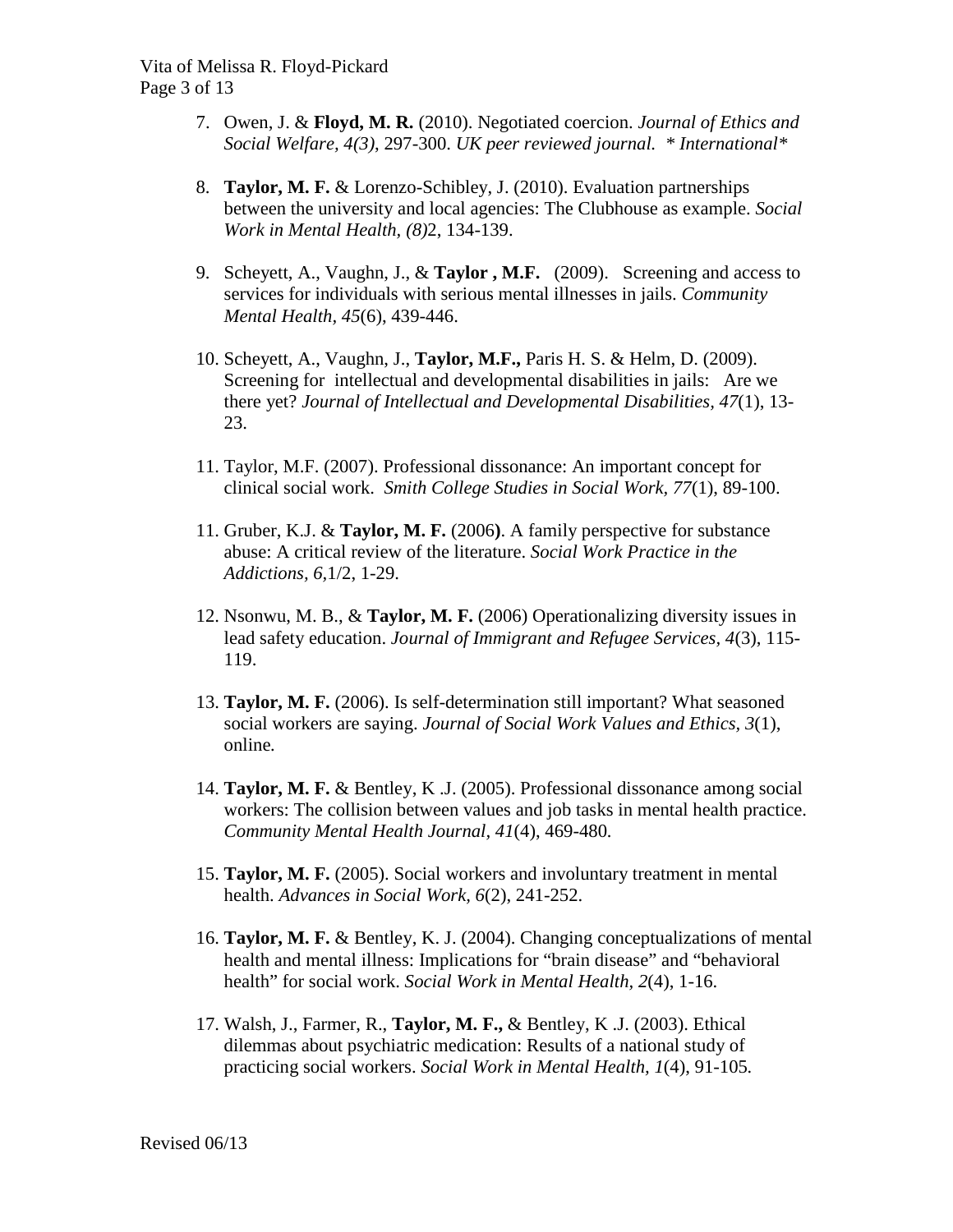- 7. Owen, J. & **Floyd, M. R.** (2010). Negotiated coercion. *Journal of Ethics and Social Welfare, 4(3)*, 297-300. *UK peer reviewed journal. \* International\**
- 8. **Taylor, M. F.** & Lorenzo-Schibley, J. (2010). Evaluation partnerships between the university and local agencies: The Clubhouse as example. *Social Work in Mental Health, (8)*2, 134-139.
- 9. Scheyett, A., Vaughn, J., & **Taylor , M.F.** (2009). Screening and access to services for individuals with serious mental illnesses in jails. *Community Mental Health, 45*(6), 439-446.
- 10. Scheyett, A., Vaughn, J., **Taylor, M.F.,** Paris H. S. & Helm, D. (2009). Screening for intellectual and developmental disabilities in jails: Are we there yet? *Journal of Intellectual and Developmental Disabilities, 47*(1), 13- 23.
- 11. Taylor, M.F. (2007). Professional dissonance: An important concept for clinical social work. *Smith College Studies in Social Work, 77*(1), 89-100.
- 11. Gruber, K.J. & **Taylor, M. F.** (2006**)**. A family perspective for substance abuse: A critical review of the literature. *Social Work Practice in the Addictions, 6,*1/2, 1-29.
- 12. Nsonwu, M. B., & **Taylor, M. F.** (2006) Operationalizing diversity issues in lead safety education. *Journal of Immigrant and Refugee Services, 4*(3), 115- 119.
- 13. **Taylor, M. F.** (2006). Is self-determination still important? What seasoned social workers are saying. *Journal of Social Work Values and Ethics, 3*(1), online*.*
- 14. **Taylor, M. F.** & Bentley, K .J. (2005). Professional dissonance among social workers: The collision between values and job tasks in mental health practice. *Community Mental Health Journal, 41*(4), 469-480*.*
- 15. **Taylor, M. F.** (2005). Social workers and involuntary treatment in mental health. *Advances in Social Work, 6*(2), 241-252.
- 16. **Taylor, M. F.** & Bentley, K. J. (2004). Changing conceptualizations of mental health and mental illness: Implications for "brain disease" and "behavioral health" for social work. *Social Work in Mental Health, 2*(4), 1-16.
- 17. Walsh, J., Farmer, R., **Taylor, M. F.,** & Bentley, K .J. (2003). Ethical dilemmas about psychiatric medication: Results of a national study of practicing social workers. *Social Work in Mental Health, 1*(4), 91-105*.*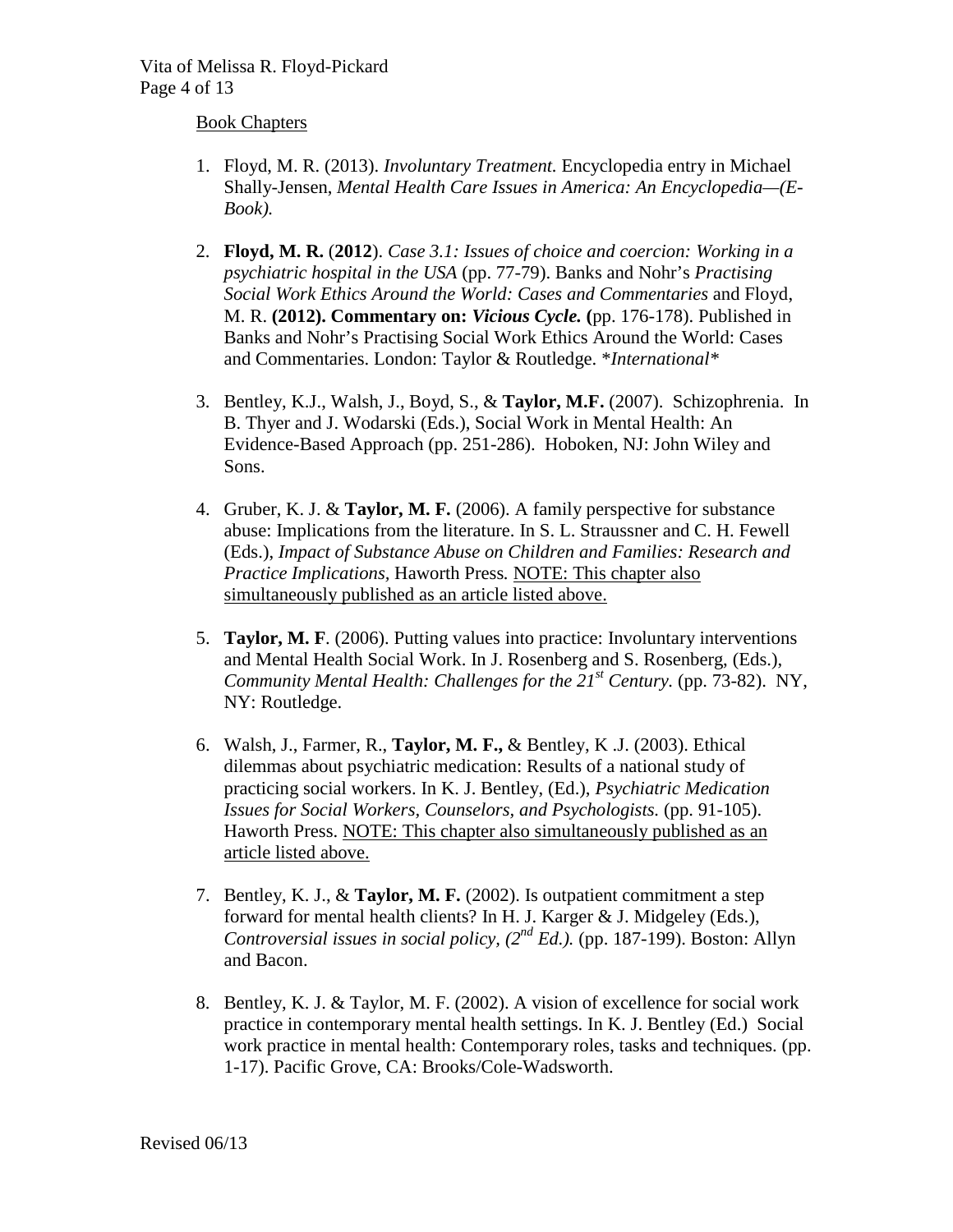#### Book Chapters

- 1. Floyd, M. R. (2013). *Involuntary Treatment.* Encyclopedia entry in Michael Shally-Jensen, *Mental Health Care Issues in America: An Encyclopedia—(E-Book).*
- 2. **Floyd, M. R.** (**2012**). *Case 3.1: Issues of choice and coercion: Working in a psychiatric hospital in the USA* (pp. 77-79). Banks and Nohr's *Practising Social Work Ethics Around the World: Cases and Commentaries* and Floyd, M. R. **(2012). Commentary on:** *Vicious Cycle.* **(**pp. 176-178). Published in Banks and Nohr's Practising Social Work Ethics Around the World: Cases and Commentaries. London: Taylor & Routledge. \**International\**
- 3. Bentley, K.J., Walsh, J., Boyd, S., & **Taylor, M.F.** (2007). Schizophrenia. In B. Thyer and J. Wodarski (Eds.), Social Work in Mental Health: An Evidence-Based Approach (pp. 251-286). Hoboken, NJ: John Wiley and Sons.
- 4. Gruber, K. J. & **Taylor, M. F.** (2006). A family perspective for substance abuse: Implications from the literature. In S. L. Straussner and C. H. Fewell (Eds.), *Impact of Substance Abuse on Children and Families: Research and Practice Implications,* Haworth Press*.* NOTE: This chapter also simultaneously published as an article listed above.
- 5. **Taylor, M. F**. (2006). Putting values into practice: Involuntary interventions and Mental Health Social Work. In J. Rosenberg and S. Rosenberg, (Eds.), *Community Mental Health: Challenges for the 21<sup>st</sup> Century.* (pp. 73-82). NY, NY: Routledge.
- 6. Walsh, J., Farmer, R., **Taylor, M. F.,** & Bentley, K .J. (2003). Ethical dilemmas about psychiatric medication: Results of a national study of practicing social workers. In K. J. Bentley, (Ed.), *Psychiatric Medication Issues for Social Workers, Counselors, and Psychologists.* (pp. 91-105). Haworth Press. NOTE: This chapter also simultaneously published as an article listed above.
- 7. Bentley, K. J., & **Taylor, M. F.** (2002). Is outpatient commitment a step forward for mental health clients? In H. J. Karger & J. Midgeley (Eds.), *Controversial issues in social policy, (2nd Ed.).* (pp. 187-199). Boston: Allyn and Bacon.
- 8. Bentley, K. J. & Taylor, M. F. (2002). A vision of excellence for social work practice in contemporary mental health settings. In K. J. Bentley (Ed.) Social work practice in mental health: Contemporary roles, tasks and techniques. (pp. 1-17). Pacific Grove, CA: Brooks/Cole-Wadsworth.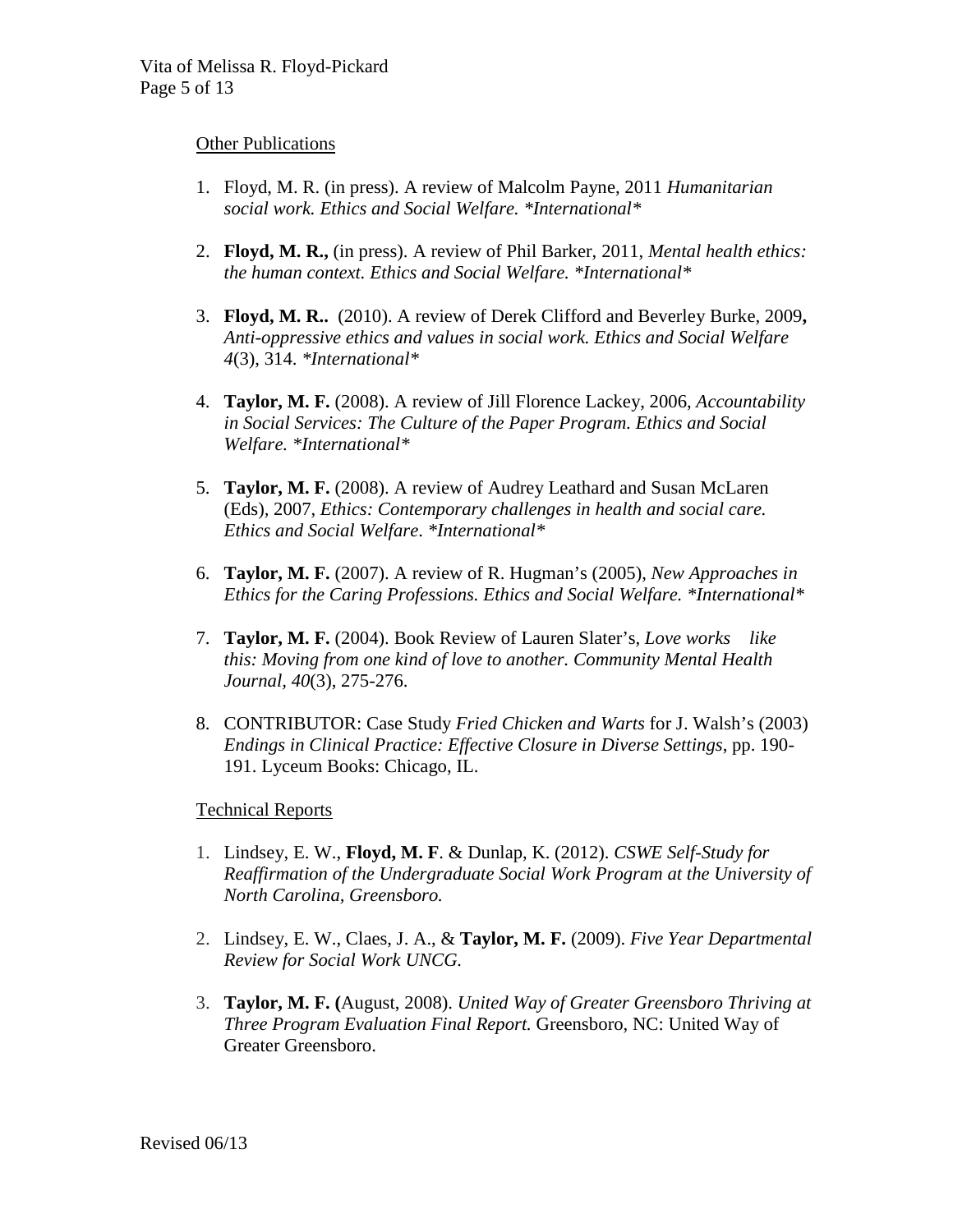#### **Other Publications**

- 1. Floyd, M. R. (in press). A review of Malcolm Payne, 2011 *Humanitarian social work. Ethics and Social Welfare. \*International\**
- 2. **Floyd, M. R.,** (in press). A review of Phil Barker, 2011, *Mental health ethics: the human context. Ethics and Social Welfare. \*International\**
- 3. **Floyd, M. R..** (2010). A review of Derek Clifford and Beverley Burke, 2009**,**  *Anti-oppressive ethics and values in social work. Ethics and Social Welfare 4*(3), 314. *\*International\**
- 4. **Taylor, M. F.** (2008). A review of Jill Florence Lackey, 2006, *Accountability in Social Services: The Culture of the Paper Program. Ethics and Social Welfare. \*International\**
- 5. **Taylor, M. F.** (2008). A review of Audrey Leathard and Susan McLaren (Eds)*,* 2007, *Ethics: Contemporary challenges in health and social care. Ethics and Social Welfare*. *\*International\**
- 6. **Taylor, M. F.** (2007). A review of R. Hugman's (2005), *New Approaches in Ethics for the Caring Professions. Ethics and Social Welfare. \*International\**
- 7. **Taylor, M. F.** (2004). Book Review of Lauren Slater's, *Love works like this: Moving from one kind of love to another. Community Mental Health Journal, 40*(3), 275-276.
- 8. CONTRIBUTOR: Case Study *Fried Chicken and Warts* for J. Walsh's (2003) *Endings in Clinical Practice: Effective Closure in Diverse Settings*, pp. 190- 191. Lyceum Books: Chicago, IL.

#### Technical Reports

- 1. Lindsey, E. W., **Floyd, M. F**. & Dunlap, K. (2012). *CSWE Self-Study for Reaffirmation of the Undergraduate Social Work Program at the University of North Carolina, Greensboro.*
- 2. Lindsey, E. W., Claes, J. A., & **Taylor, M. F.** (2009). *Five Year Departmental Review for Social Work UNCG.*
- 3. **Taylor, M. F. (**August, 2008). *United Way of Greater Greensboro Thriving at Three Program Evaluation Final Report.* Greensboro, NC: United Way of Greater Greensboro.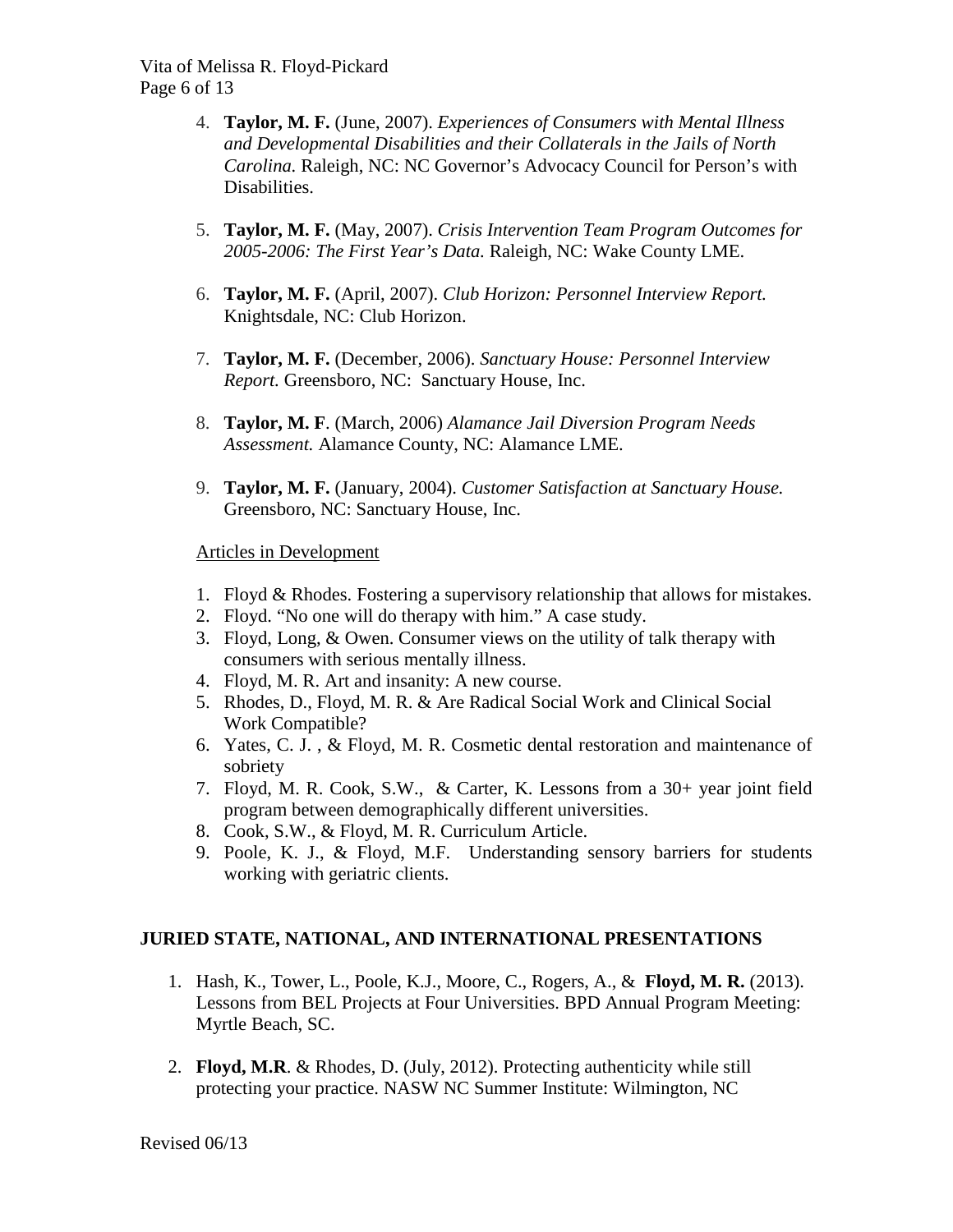- 4. **Taylor, M. F.** (June, 2007). *Experiences of Consumers with Mental Illness and Developmental Disabilities and their Collaterals in the Jails of North Carolina.* Raleigh, NC: NC Governor's Advocacy Council for Person's with Disabilities.
- 5. **Taylor, M. F.** (May, 2007). *Crisis Intervention Team Program Outcomes for 2005-2006: The First Year's Data.* Raleigh, NC: Wake County LME.
- 6. **Taylor, M. F.** (April, 2007). *Club Horizon: Personnel Interview Report.* Knightsdale, NC: Club Horizon.
- 7. **Taylor, M. F.** (December, 2006). *Sanctuary House: Personnel Interview Report.* Greensboro, NC: Sanctuary House, Inc.
- 8. **Taylor, M. F**. (March, 2006) *Alamance Jail Diversion Program Needs Assessment.* Alamance County, NC: Alamance LME.
- 9. **Taylor, M. F.** (January, 2004). *Customer Satisfaction at Sanctuary House.*  Greensboro, NC: Sanctuary House, Inc.

Articles in Development

- 1. Floyd & Rhodes. Fostering a supervisory relationship that allows for mistakes.
- 2. Floyd. "No one will do therapy with him." A case study.
- 3. Floyd, Long, & Owen. Consumer views on the utility of talk therapy with consumers with serious mentally illness.
- 4. Floyd, M. R. Art and insanity: A new course.
- 5. Rhodes, D., Floyd, M. R. & Are Radical Social Work and Clinical Social Work Compatible?
- 6. Yates, C. J. , & Floyd, M. R. Cosmetic dental restoration and maintenance of sobriety
- 7. Floyd, M. R. Cook, S.W., & Carter, K. Lessons from a 30+ year joint field program between demographically different universities.
- 8. Cook, S.W., & Floyd, M. R. Curriculum Article.
- 9. Poole, K. J., & Floyd, M.F. Understanding sensory barriers for students working with geriatric clients.

## **JURIED STATE, NATIONAL, AND INTERNATIONAL PRESENTATIONS**

- 1. Hash, K., Tower, L., Poole, K.J., Moore, C., Rogers, A., & **Floyd, M. R.** (2013). Lessons from BEL Projects at Four Universities. BPD Annual Program Meeting: Myrtle Beach, SC.
- 2. **Floyd, M.R**. & Rhodes, D. (July, 2012). Protecting authenticity while still protecting your practice. NASW NC Summer Institute: Wilmington, NC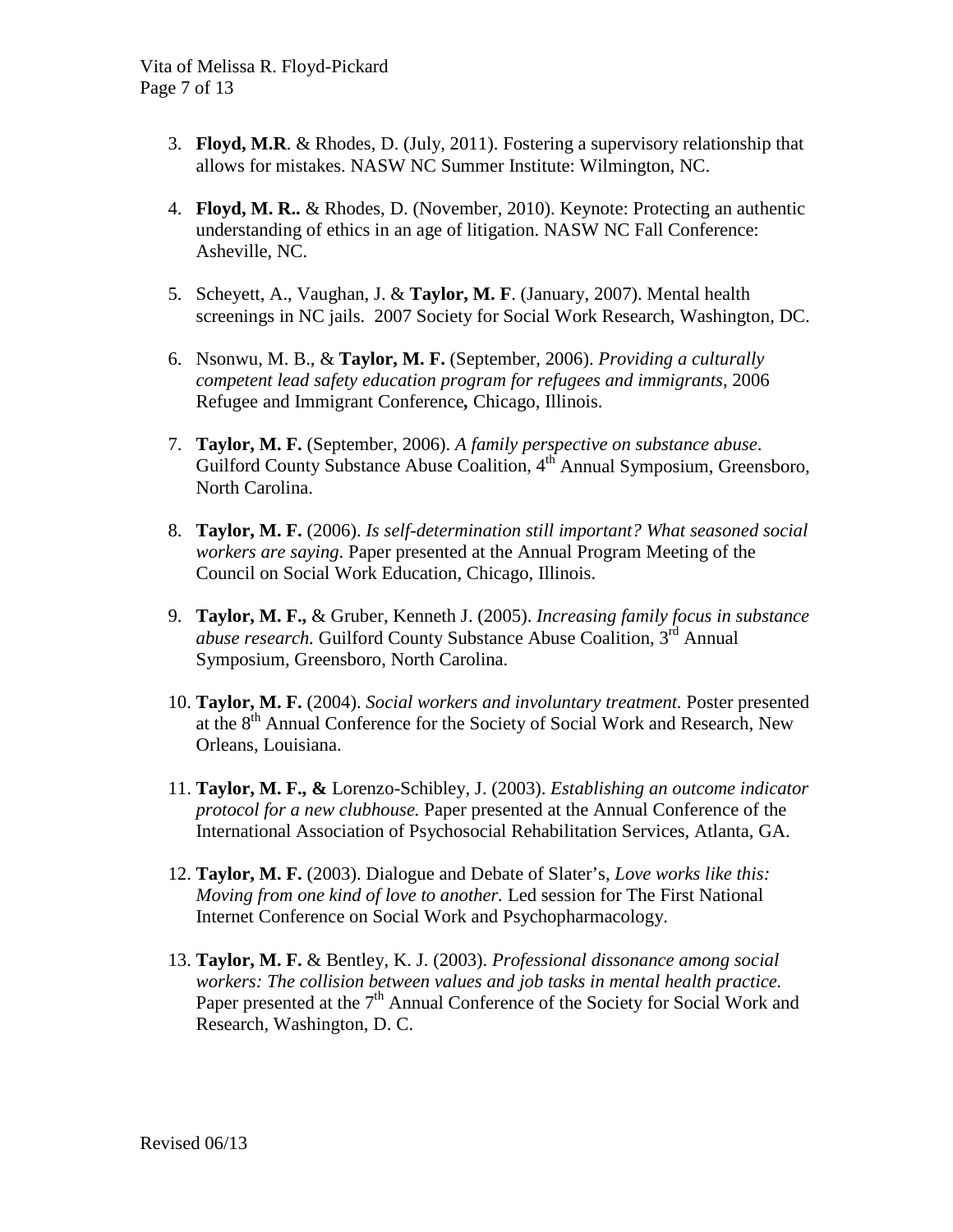- 3. **Floyd, M.R**. & Rhodes, D. (July, 2011). Fostering a supervisory relationship that allows for mistakes. NASW NC Summer Institute: Wilmington, NC.
- 4. **Floyd, M. R..** & Rhodes, D. (November, 2010). Keynote: Protecting an authentic understanding of ethics in an age of litigation. NASW NC Fall Conference: Asheville, NC.
- 5. Scheyett, A., Vaughan, J. & **Taylor, M. F**. (January, 2007). Mental health screenings in NC jails. 2007 Society for Social Work Research, Washington, DC.
- 6. Nsonwu, M. B., & **Taylor, M. F.** (September, 2006). *Providing a culturally competent lead safety education program for refugees and immigrants*, 2006 Refugee and Immigrant Conference*,* Chicago, Illinois.
- 7. **Taylor, M. F.** (September, 2006). *A family perspective on substance abuse*. Guilford County Substance Abuse Coalition, 4<sup>th</sup> Annual Symposium, Greensboro, North Carolina.
- 8. **Taylor, M. F.** (2006). *Is self-determination still important? What seasoned social workers are saying*. Paper presented at the Annual Program Meeting of the Council on Social Work Education, Chicago, Illinois.
- 9. **Taylor, M. F.,** & Gruber, Kenneth J. (2005). *Increasing family focus in substance abuse research.* Guilford County Substance Abuse Coalition, 3rd Annual Symposium, Greensboro, North Carolina.
- 10. **Taylor, M. F.** (2004). *Social workers and involuntary treatment.* Poster presented at the 8<sup>th</sup> Annual Conference for the Society of Social Work and Research, New Orleans, Louisiana.
- 11. **Taylor, M. F., &** Lorenzo-Schibley, J. (2003). *Establishing an outcome indicator protocol for a new clubhouse.* Paper presented at the Annual Conference of the International Association of Psychosocial Rehabilitation Services, Atlanta, GA.
- 12. **Taylor, M. F.** (2003). Dialogue and Debate of Slater's, *Love works like this: Moving from one kind of love to another.* Led session for The First National Internet Conference on Social Work and Psychopharmacology.
- 13. **Taylor, M. F.** & Bentley, K. J. (2003). *Professional dissonance among social workers: The collision between values and job tasks in mental health practice.* Paper presented at the 7<sup>th</sup> Annual Conference of the Society for Social Work and Research, Washington, D. C.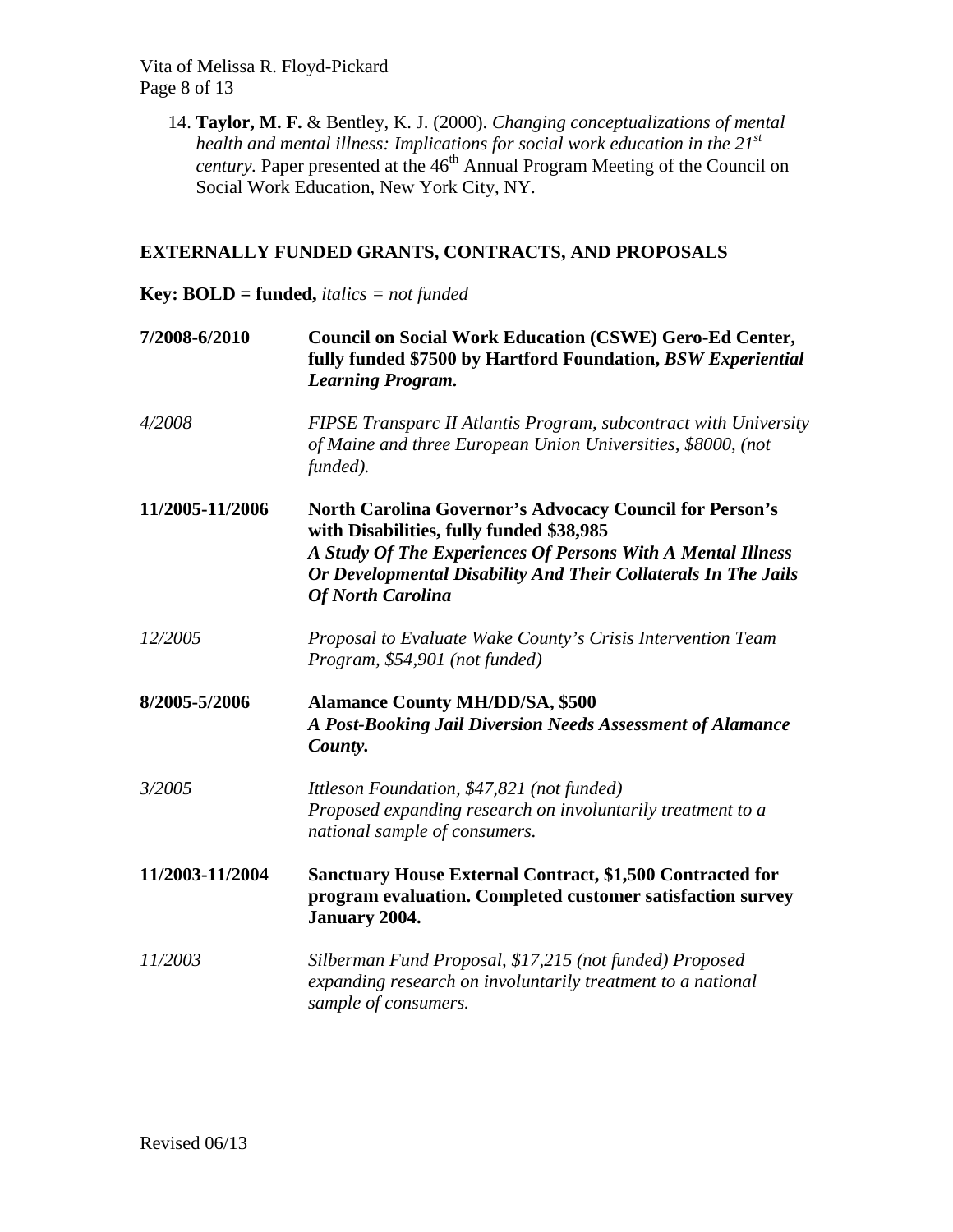Vita of Melissa R. Floyd-Pickard Page 8 of 13

> 14. **Taylor, M. F.** & Bentley, K. J. (2000). *Changing conceptualizations of mental health and mental illness: Implications for social work education in the 21st century.* Paper presented at the 46<sup>th</sup> Annual Program Meeting of the Council on Social Work Education, New York City, NY.

# **EXTERNALLY FUNDED GRANTS, CONTRACTS, AND PROPOSALS**

## **Key: BOLD = funded,** *italics = not funded*

| 7/2008-6/2010   | <b>Council on Social Work Education (CSWE) Gero-Ed Center,</b><br>fully funded \$7500 by Hartford Foundation, BSW Experiential<br><b>Learning Program.</b>                                                                                                              |
|-----------------|-------------------------------------------------------------------------------------------------------------------------------------------------------------------------------------------------------------------------------------------------------------------------|
| 4/2008          | FIPSE Transparc II Atlantis Program, subcontract with University<br>of Maine and three European Union Universities, \$8000, (not<br>funded).                                                                                                                            |
| 11/2005-11/2006 | <b>North Carolina Governor's Advocacy Council for Person's</b><br>with Disabilities, fully funded \$38,985<br>A Study Of The Experiences Of Persons With A Mental Illness<br>Or Developmental Disability And Their Collaterals In The Jails<br><b>Of North Carolina</b> |
| 12/2005         | Proposal to Evaluate Wake County's Crisis Intervention Team<br>Program, \$54,901 (not funded)                                                                                                                                                                           |
| 8/2005-5/2006   | <b>Alamance County MH/DD/SA, \$500</b><br>A Post-Booking Jail Diversion Needs Assessment of Alamance<br>County.                                                                                                                                                         |
| 3/2005          | Ittleson Foundation, \$47,821 (not funded)<br>Proposed expanding research on involuntarily treatment to a<br>national sample of consumers.                                                                                                                              |
| 11/2003-11/2004 | <b>Sanctuary House External Contract, \$1,500 Contracted for</b><br>program evaluation. Completed customer satisfaction survey<br>January 2004.                                                                                                                         |
| 11/2003         | Silberman Fund Proposal, \$17,215 (not funded) Proposed<br>expanding research on involuntarily treatment to a national<br>sample of consumers.                                                                                                                          |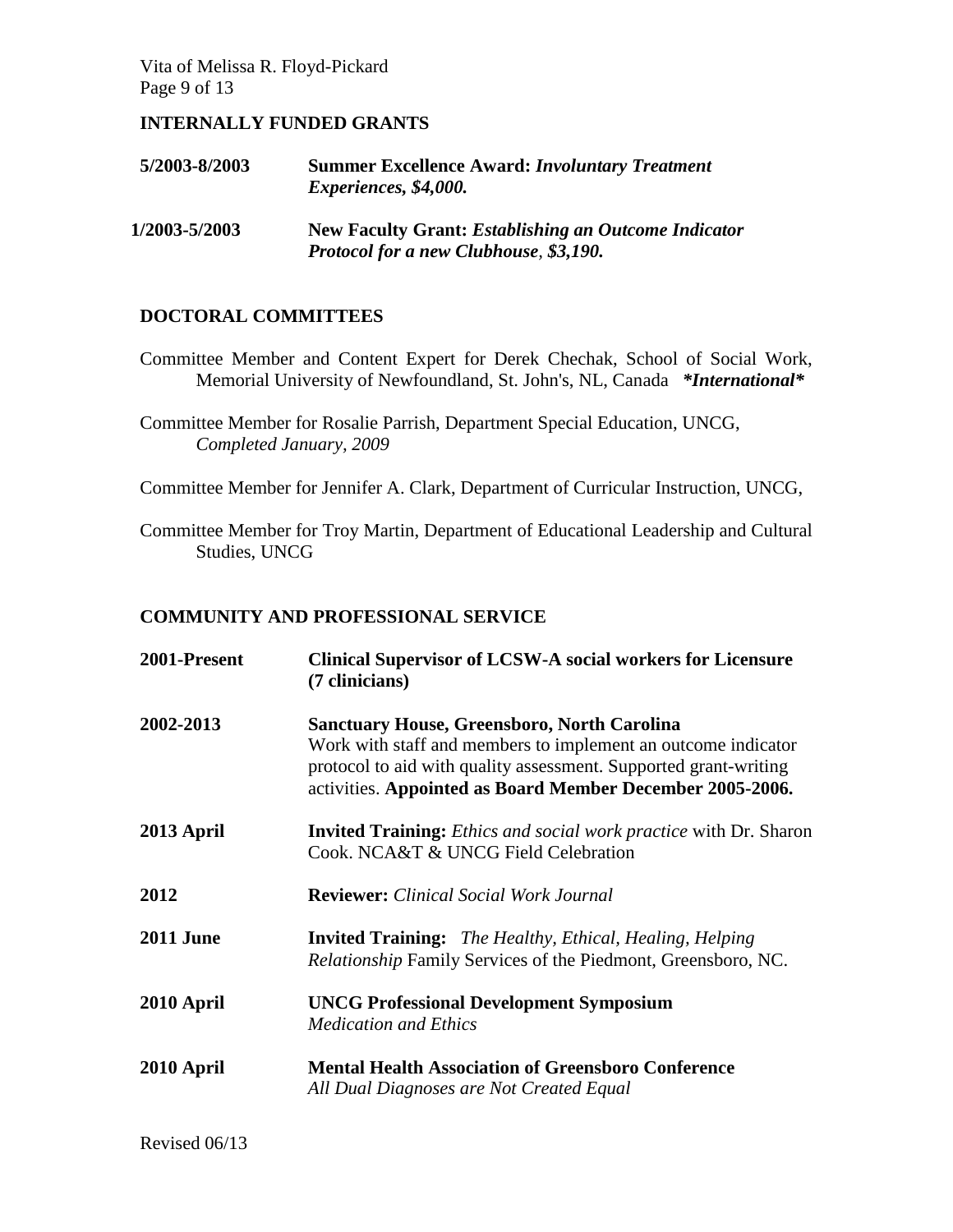Vita of Melissa R. Floyd-Pickard Page 9 of 13

### **INTERNALLY FUNDED GRANTS**

| 5/2003-8/2003 | <b>Summer Excellence Award: Involuntary Treatment</b><br>Experiences, \$4,000.                        |
|---------------|-------------------------------------------------------------------------------------------------------|
| 1/2003-5/2003 | <b>New Faculty Grant: Establishing an Outcome Indicator</b><br>Protocol for a new Clubhouse, \$3,190. |

### **DOCTORAL COMMITTEES**

- Committee Member and Content Expert for Derek Chechak, School of Social Work, Memorial University of Newfoundland, St. John's, NL, Canada *\*International\**
- Committee Member for Rosalie Parrish, Department Special Education, UNCG, *Completed January, 2009*

Committee Member for Jennifer A. Clark, Department of Curricular Instruction, UNCG,

Committee Member for Troy Martin, Department of Educational Leadership and Cultural Studies, UNCG

#### **COMMUNITY AND PROFESSIONAL SERVICE**

| 2001-Present     | <b>Clinical Supervisor of LCSW-A social workers for Licensure</b><br>(7 clinicians)                                                                                                                                                                  |
|------------------|------------------------------------------------------------------------------------------------------------------------------------------------------------------------------------------------------------------------------------------------------|
| 2002-2013        | <b>Sanctuary House, Greensboro, North Carolina</b><br>Work with staff and members to implement an outcome indicator<br>protocol to aid with quality assessment. Supported grant-writing<br>activities. Appointed as Board Member December 2005-2006. |
| 2013 April       | <b>Invited Training:</b> Ethics and social work practice with Dr. Sharon<br>Cook, NCA&T & UNCG Field Celebration                                                                                                                                     |
| 2012             | <b>Reviewer:</b> Clinical Social Work Journal                                                                                                                                                                                                        |
| <b>2011 June</b> | <b>Invited Training:</b> The Healthy, Ethical, Healing, Helping<br><i>Relationship</i> Family Services of the Piedmont, Greensboro, NC.                                                                                                              |
| 2010 April       | <b>UNCG Professional Development Symposium</b><br><b>Medication and Ethics</b>                                                                                                                                                                       |
| 2010 April       | <b>Mental Health Association of Greensboro Conference</b><br>All Dual Diagnoses are Not Created Equal                                                                                                                                                |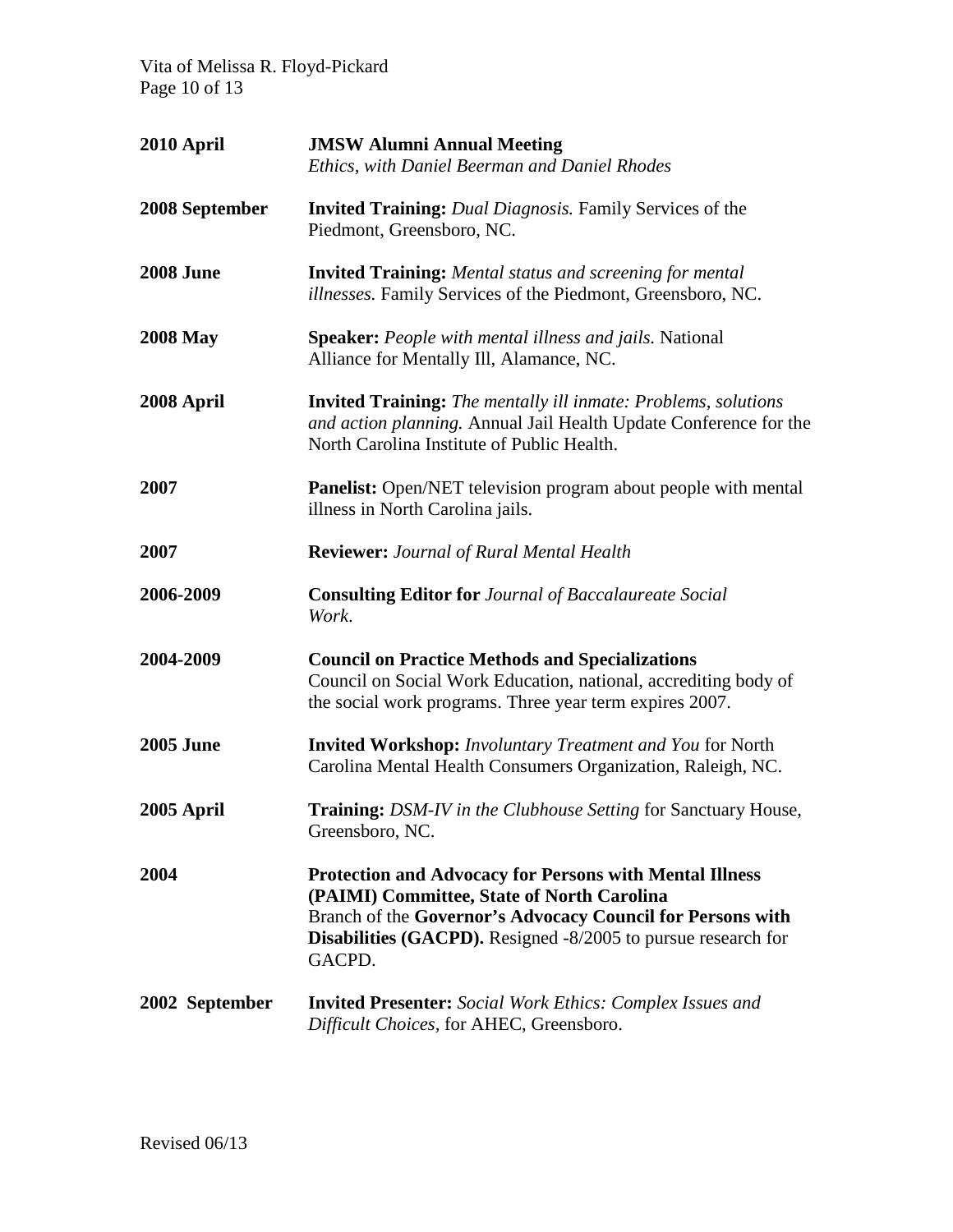Vita of Melissa R. Floyd-Pickard Page 10 of 13

| 2010 April       | <b>JMSW Alumni Annual Meeting</b><br>Ethics, with Daniel Beerman and Daniel Rhodes                                                                                                                                                                           |
|------------------|--------------------------------------------------------------------------------------------------------------------------------------------------------------------------------------------------------------------------------------------------------------|
| 2008 September   | <b>Invited Training:</b> Dual Diagnosis. Family Services of the<br>Piedmont, Greensboro, NC.                                                                                                                                                                 |
| <b>2008 June</b> | <b>Invited Training:</b> Mental status and screening for mental<br><i>illnesses</i> . Family Services of the Piedmont, Greensboro, NC.                                                                                                                       |
| <b>2008 May</b>  | <b>Speaker:</b> People with mental illness and jails. National<br>Alliance for Mentally Ill, Alamance, NC.                                                                                                                                                   |
| 2008 April       | <b>Invited Training:</b> The mentally ill inmate: Problems, solutions<br>and action planning. Annual Jail Health Update Conference for the<br>North Carolina Institute of Public Health.                                                                     |
| 2007             | Panelist: Open/NET television program about people with mental<br>illness in North Carolina jails.                                                                                                                                                           |
| 2007             | <b>Reviewer: Journal of Rural Mental Health</b>                                                                                                                                                                                                              |
| 2006-2009        | <b>Consulting Editor for Journal of Baccalaureate Social</b><br>Work.                                                                                                                                                                                        |
| 2004-2009        | <b>Council on Practice Methods and Specializations</b><br>Council on Social Work Education, national, accrediting body of<br>the social work programs. Three year term expires 2007.                                                                         |
| <b>2005 June</b> | <b>Invited Workshop:</b> Involuntary Treatment and You for North<br>Carolina Mental Health Consumers Organization, Raleigh, NC.                                                                                                                              |
| 2005 April       | <b>Training:</b> DSM-IV in the Clubhouse Setting for Sanctuary House,<br>Greensboro, NC.                                                                                                                                                                     |
| 2004             | <b>Protection and Advocacy for Persons with Mental Illness</b><br>(PAIMI) Committee, State of North Carolina<br>Branch of the Governor's Advocacy Council for Persons with<br><b>Disabilities (GACPD).</b> Resigned -8/2005 to pursue research for<br>GACPD. |
| 2002 September   | <b>Invited Presenter:</b> Social Work Ethics: Complex Issues and<br>Difficult Choices, for AHEC, Greensboro.                                                                                                                                                 |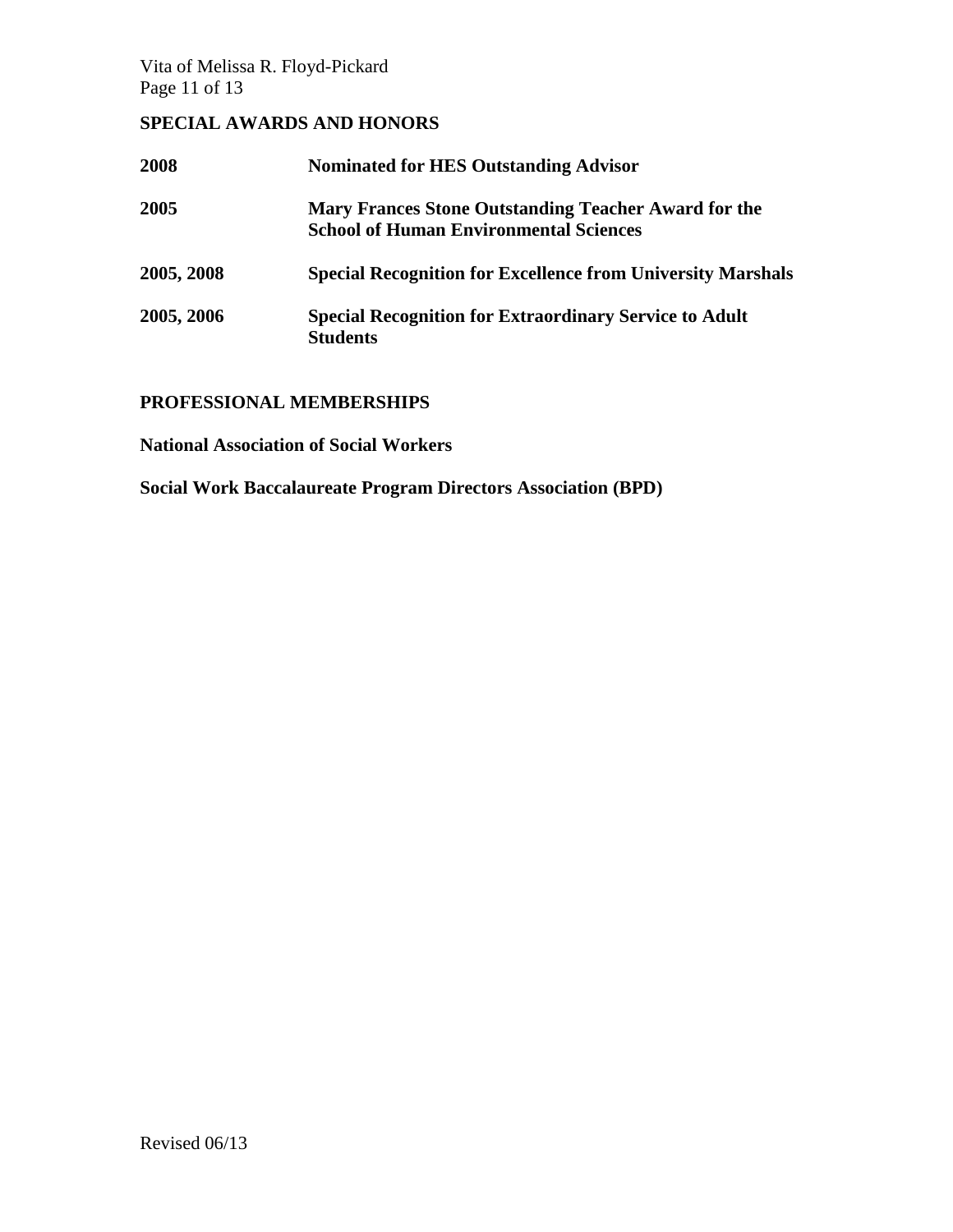Vita of Melissa R. Floyd-Pickard Page 11 of 13

# **SPECIAL AWARDS AND HONORS**

| 2008       | <b>Nominated for HES Outstanding Advisor</b>                                                          |
|------------|-------------------------------------------------------------------------------------------------------|
| 2005       | Mary Frances Stone Outstanding Teacher Award for the<br><b>School of Human Environmental Sciences</b> |
| 2005, 2008 | <b>Special Recognition for Excellence from University Marshals</b>                                    |
| 2005, 2006 | <b>Special Recognition for Extraordinary Service to Adult</b><br><b>Students</b>                      |

# **PROFESSIONAL MEMBERSHIPS**

**National Association of Social Workers**

**Social Work Baccalaureate Program Directors Association (BPD)**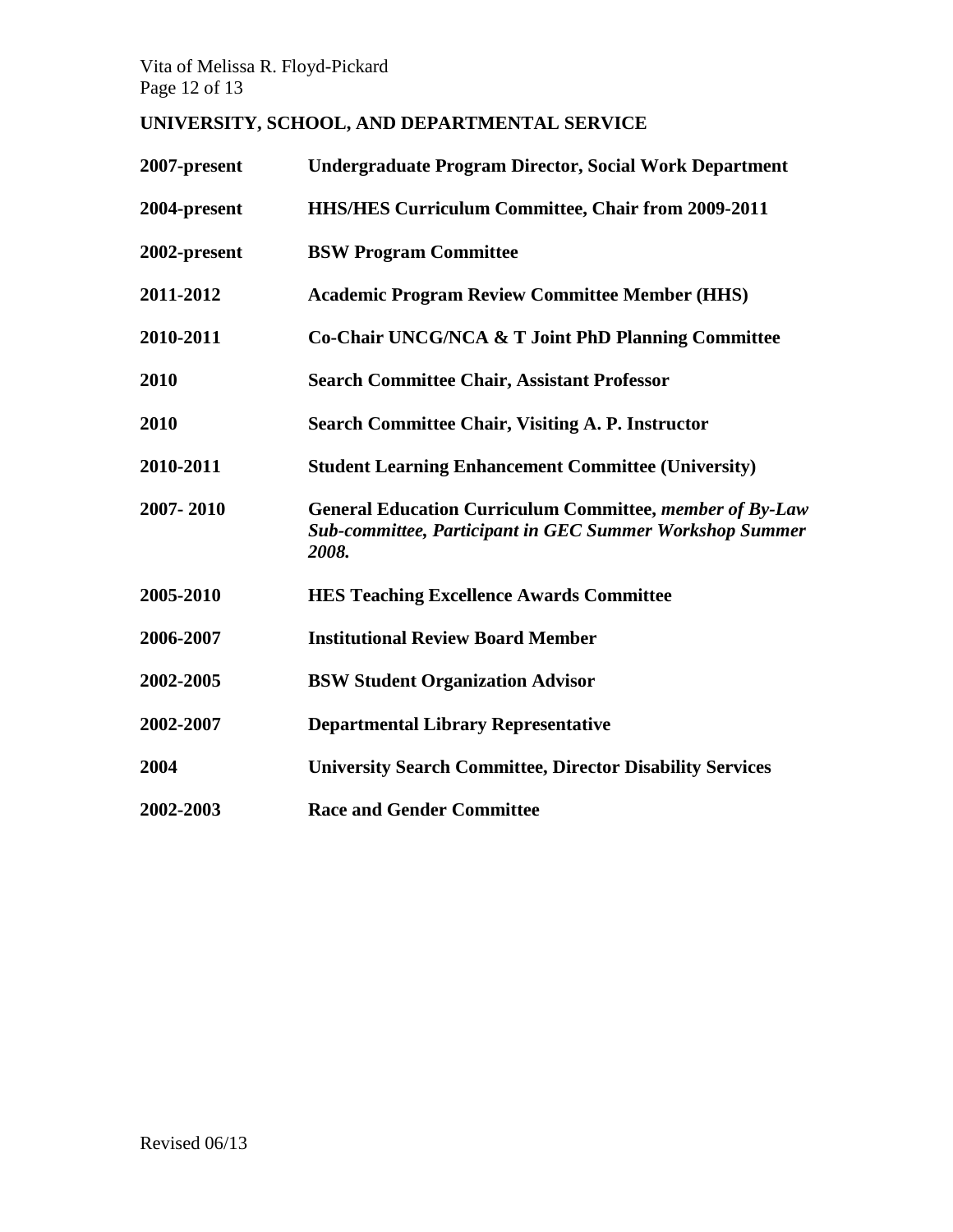Vita of Melissa R. Floyd-Pickard Page 12 of 13

# **UNIVERSITY, SCHOOL, AND DEPARTMENTAL SERVICE**

| 2007-present | <b>Undergraduate Program Director, Social Work Department</b>                                                                               |
|--------------|---------------------------------------------------------------------------------------------------------------------------------------------|
| 2004-present | <b>HHS/HES Curriculum Committee, Chair from 2009-2011</b>                                                                                   |
| 2002-present | <b>BSW Program Committee</b>                                                                                                                |
| 2011-2012    | <b>Academic Program Review Committee Member (HHS)</b>                                                                                       |
| 2010-2011    | Co-Chair UNCG/NCA & T Joint PhD Planning Committee                                                                                          |
| 2010         | <b>Search Committee Chair, Assistant Professor</b>                                                                                          |
| 2010         | <b>Search Committee Chair, Visiting A. P. Instructor</b>                                                                                    |
| 2010-2011    | <b>Student Learning Enhancement Committee (University)</b>                                                                                  |
| 2007-2010    | <b>General Education Curriculum Committee, member of By-Law</b><br><b>Sub-committee, Participant in GEC Summer Workshop Summer</b><br>2008. |
| 2005-2010    | <b>HES Teaching Excellence Awards Committee</b>                                                                                             |
| 2006-2007    | <b>Institutional Review Board Member</b>                                                                                                    |
| 2002-2005    | <b>BSW Student Organization Advisor</b>                                                                                                     |
| 2002-2007    | <b>Departmental Library Representative</b>                                                                                                  |
| 2004         | <b>University Search Committee, Director Disability Services</b>                                                                            |
| 2002-2003    | <b>Race and Gender Committee</b>                                                                                                            |